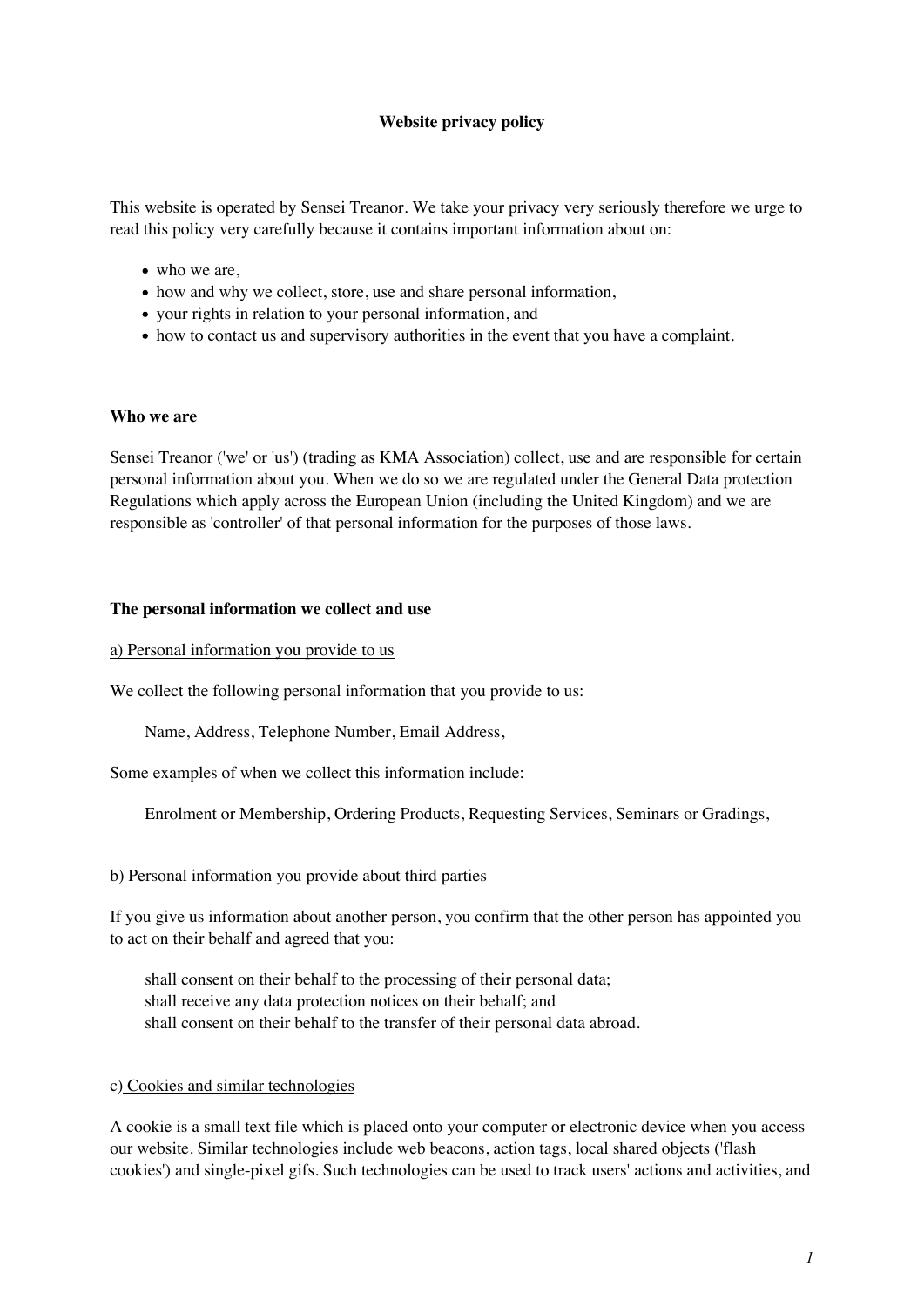# **Website privacy policy**

This website is operated by Sensei Treanor. We take your privacy very seriously therefore we urge to read this policy very carefully because it contains important information about on:

- who we are,
- how and why we collect, store, use and share personal information,
- your rights in relation to your personal information, and
- how to contact us and supervisory authorities in the event that you have a complaint.

### **Who we are**

Sensei Treanor ('we' or 'us') (trading as KMA Association) collect, use and are responsible for certain personal information about you. When we do so we are regulated under the General Data protection Regulations which apply across the European Union (including the United Kingdom) and we are responsible as 'controller' of that personal information for the purposes of those laws.

#### **The personal information we collect and use**

### a) Personal information you provide to us

We collect the following personal information that you provide to us:

Name, Address, Telephone Number, Email Address,

Some examples of when we collect this information include:

Enrolment or Membership, Ordering Products, Requesting Services, Seminars or Gradings,

### b) Personal information you provide about third parties

If you give us information about another person, you confirm that the other person has appointed you to act on their behalf and agreed that you:

shall consent on their behalf to the processing of their personal data; shall receive any data protection notices on their behalf; and shall consent on their behalf to the transfer of their personal data abroad.

### c) Cookies and similar technologies

A cookie is a small text file which is placed onto your computer or electronic device when you access our website. Similar technologies include web beacons, action tags, local shared objects ('flash cookies') and single-pixel gifs. Such technologies can be used to track users' actions and activities, and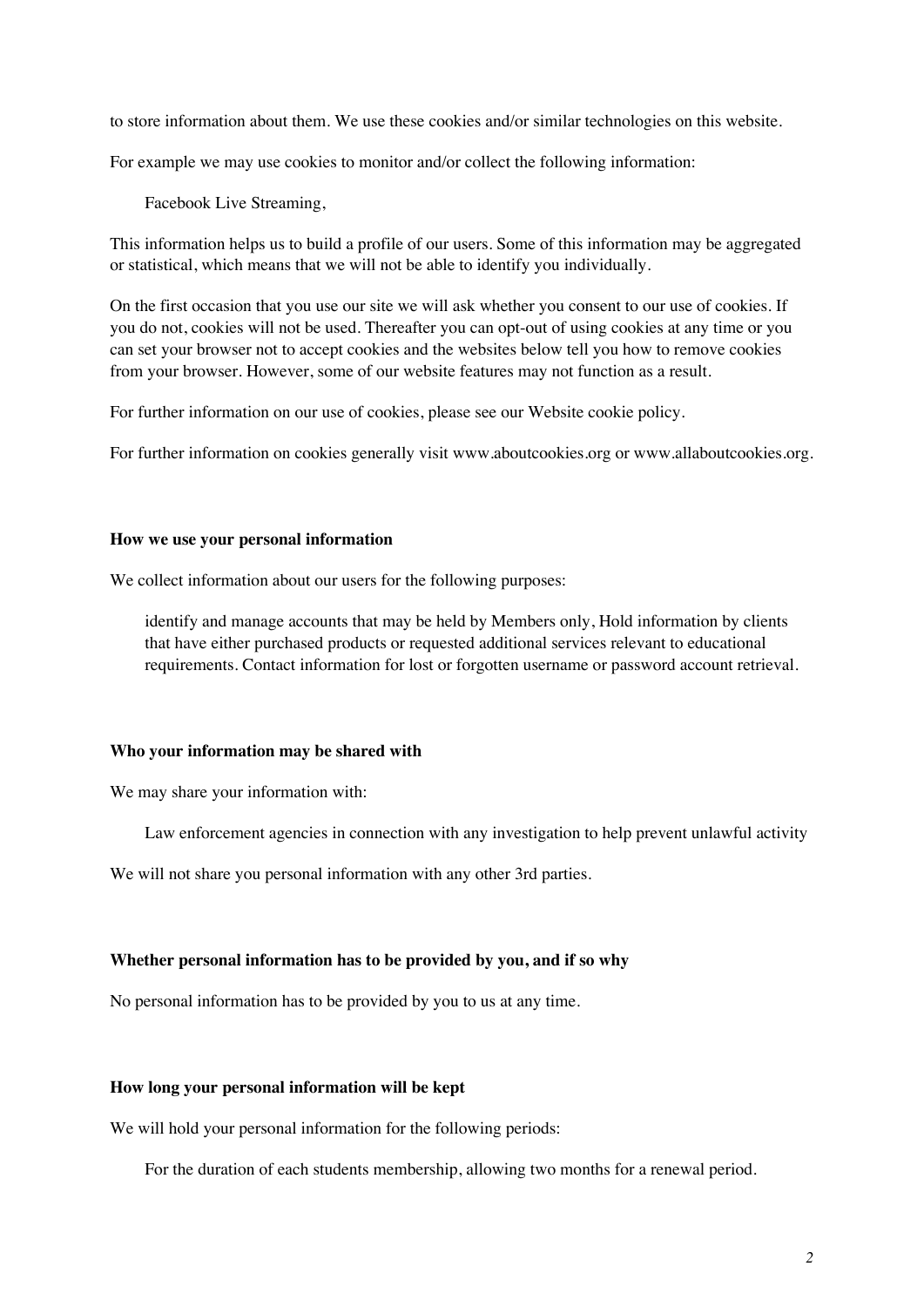to store information about them. We use these cookies and/or similar technologies on this website.

For example we may use cookies to monitor and/or collect the following information:

Facebook Live Streaming,

This information helps us to build a profile of our users. Some of this information may be aggregated or statistical, which means that we will not be able to identify you individually.

On the first occasion that you use our site we will ask whether you consent to our use of cookies. If you do not, cookies will not be used. Thereafter you can opt-out of using cookies at any time or you can set your browser not to accept cookies and the websites below tell you how to remove cookies from your browser. However, some of our website features may not function as a result.

For further information on our use of cookies, please see our Website cookie policy.

For further information on cookies generally visit www.aboutcookies.org or www.allaboutcookies.org.

#### **How we use your personal information**

We collect information about our users for the following purposes:

identify and manage accounts that may be held by Members only, Hold information by clients that have either purchased products or requested additional services relevant to educational requirements. Contact information for lost or forgotten username or password account retrieval.

#### **Who your information may be shared with**

We may share your information with:

Law enforcement agencies in connection with any investigation to help prevent unlawful activity

We will not share you personal information with any other 3rd parties.

# **Whether personal information has to be provided by you, and if so why**

No personal information has to be provided by you to us at any time.

#### **How long your personal information will be kept**

We will hold your personal information for the following periods:

For the duration of each students membership, allowing two months for a renewal period.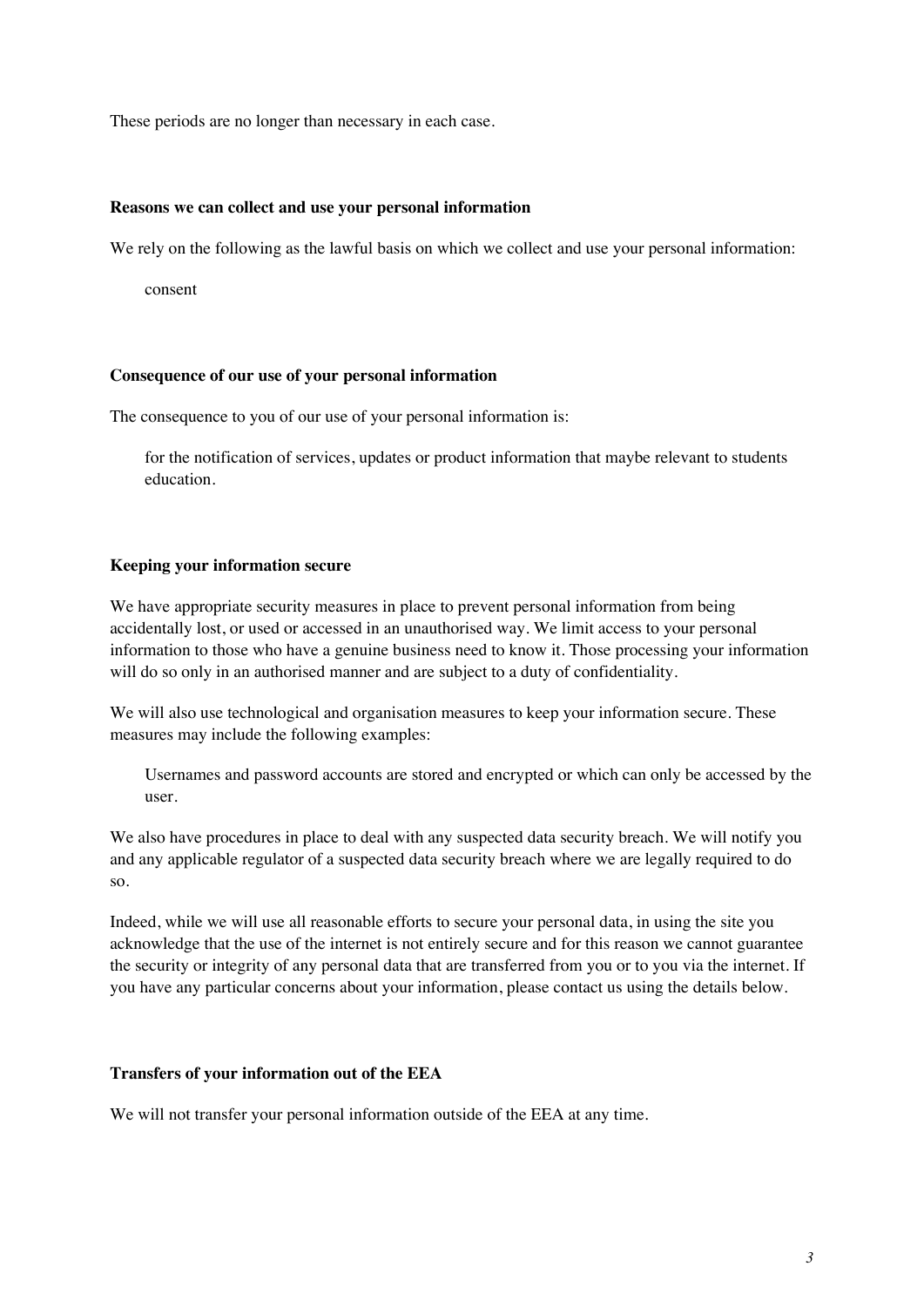These periods are no longer than necessary in each case.

### **Reasons we can collect and use your personal information**

We rely on the following as the lawful basis on which we collect and use your personal information:

consent

# **Consequence of our use of your personal information**

The consequence to you of our use of your personal information is:

for the notification of services, updates or product information that maybe relevant to students education.

# **Keeping your information secure**

We have appropriate security measures in place to prevent personal information from being accidentally lost, or used or accessed in an unauthorised way. We limit access to your personal information to those who have a genuine business need to know it. Those processing your information will do so only in an authorised manner and are subject to a duty of confidentiality.

We will also use technological and organisation measures to keep your information secure. These measures may include the following examples:

Usernames and password accounts are stored and encrypted or which can only be accessed by the user.

We also have procedures in place to deal with any suspected data security breach. We will notify you and any applicable regulator of a suspected data security breach where we are legally required to do so.

Indeed, while we will use all reasonable efforts to secure your personal data, in using the site you acknowledge that the use of the internet is not entirely secure and for this reason we cannot guarantee the security or integrity of any personal data that are transferred from you or to you via the internet. If you have any particular concerns about your information, please contact us using the details below.

# **Transfers of your information out of the EEA**

We will not transfer your personal information outside of the EEA at any time.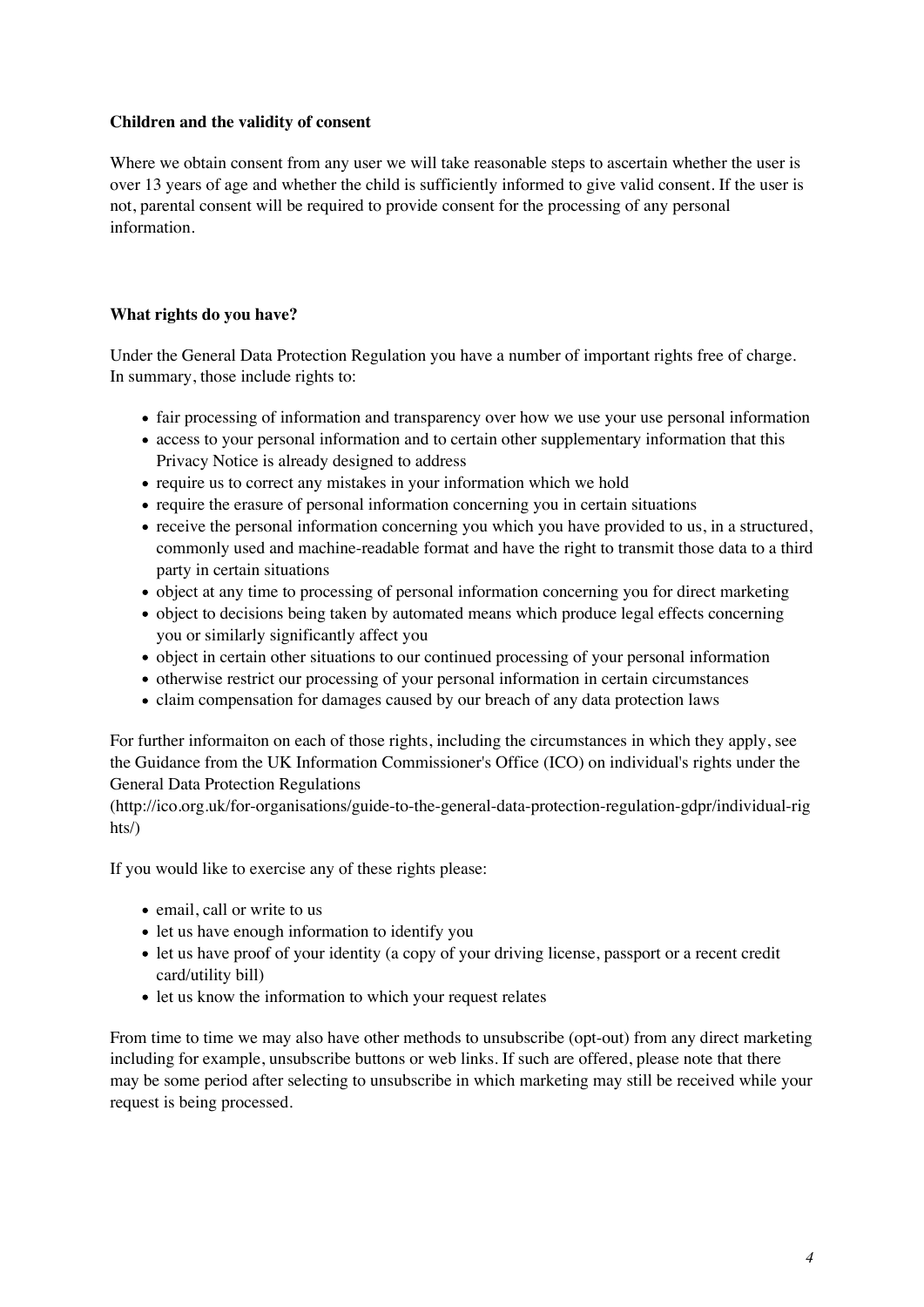# **Children and the validity of consent**

Where we obtain consent from any user we will take reasonable steps to ascertain whether the user is over 13 years of age and whether the child is sufficiently informed to give valid consent. If the user is not, parental consent will be required to provide consent for the processing of any personal information.

# **What rights do you have?**

Under the General Data Protection Regulation you have a number of important rights free of charge. In summary, those include rights to:

- fair processing of information and transparency over how we use your use personal information
- access to your personal information and to certain other supplementary information that this Privacy Notice is already designed to address
- require us to correct any mistakes in your information which we hold
- require the erasure of personal information concerning you in certain situations
- receive the personal information concerning you which you have provided to us, in a structured, commonly used and machine-readable format and have the right to transmit those data to a third party in certain situations
- object at any time to processing of personal information concerning you for direct marketing
- object to decisions being taken by automated means which produce legal effects concerning you or similarly significantly affect you
- object in certain other situations to our continued processing of your personal information
- otherwise restrict our processing of your personal information in certain circumstances
- claim compensation for damages caused by our breach of any data protection laws

For further informaiton on each of those rights, including the circumstances in which they apply, see the Guidance from the UK Information Commissioner's Office (ICO) on individual's rights under the General Data Protection Regulations

(http://ico.org.uk/for-organisations/guide-to-the-general-data-protection-regulation-gdpr/individual-rig hts/)

If you would like to exercise any of these rights please:

- email, call or write to us
- let us have enough information to identify you
- let us have proof of your identity (a copy of your driving license, passport or a recent credit card/utility bill)
- let us know the information to which your request relates

From time to time we may also have other methods to unsubscribe (opt-out) from any direct marketing including for example, unsubscribe buttons or web links. If such are offered, please note that there may be some period after selecting to unsubscribe in which marketing may still be received while your request is being processed.